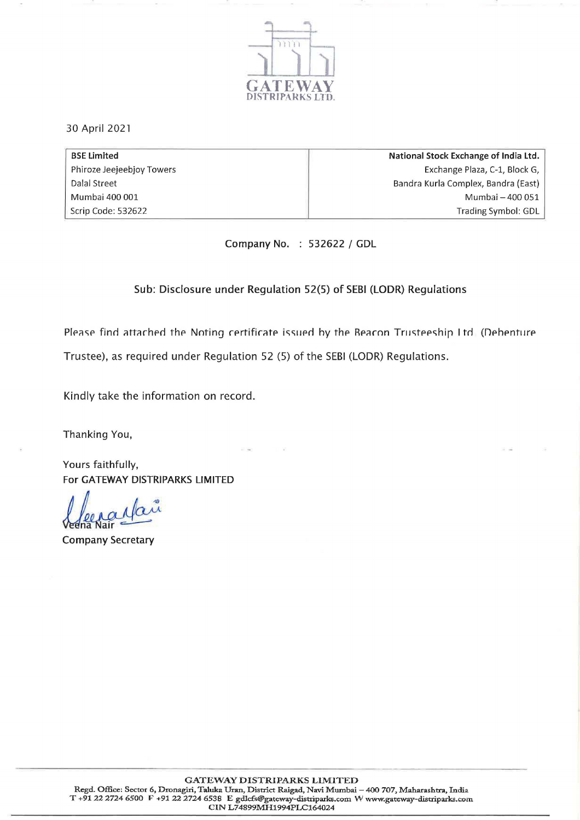

30 April 2021

| <b>BSE Limited</b>        | National Stock Exchange of India Ltd. |
|---------------------------|---------------------------------------|
| Phiroze Jeejeebjoy Towers | Exchange Plaza, C-1, Block G,         |
| Dalal Street              | Bandra Kurla Complex, Bandra (East)   |
| Mumbai 400 001            | Mumbai - 400 051                      |
| Scrip Code: 532622        | <b>Trading Symbol: GDL</b>            |

Company No. 532622 / GDL

## Sub: Disclosure under Regulation 52(5) of SEBI (LODR) Regulations

Please find attached the Noting certificate issued by the Beacon Trusteeship Itd. (Debenture Trustee), as required under Regulation 52 (5) of the SEBI (LODR) Regulations.

Kindly take the information on record.

Thanking You,

Yours faithfully, For GATEWAY DISTRIPARKS LIMITED

Company Secretary